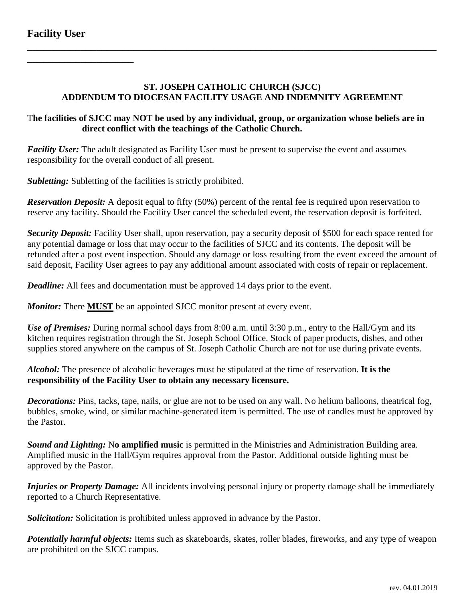**\_\_\_\_\_\_\_\_\_\_\_\_\_\_\_\_\_\_\_\_**

## **ST. JOSEPH CATHOLIC CHURCH (SJCC) ADDENDUM TO DIOCESAN FACILITY USAGE AND INDEMNITY AGREEMENT**

**\_\_\_\_\_\_\_\_\_\_\_\_\_\_\_\_\_\_\_\_\_\_\_\_\_\_\_\_\_\_\_\_\_\_\_\_\_\_\_\_\_\_\_\_\_\_\_\_\_\_\_\_\_\_\_\_\_\_\_\_\_\_\_\_\_\_\_\_\_\_\_\_\_\_\_\_\_**

## T**he facilities of SJCC may NOT be used by any individual, group, or organization whose beliefs are in direct conflict with the teachings of the Catholic Church.**

*Facility User:* The adult designated as Facility User must be present to supervise the event and assumes responsibility for the overall conduct of all present.

*Subletting:* Subletting of the facilities is strictly prohibited.

*Reservation Deposit:* A deposit equal to fifty (50%) percent of the rental fee is required upon reservation to reserve any facility. Should the Facility User cancel the scheduled event, the reservation deposit is forfeited.

*Security Deposit:* Facility User shall, upon reservation, pay a security deposit of \$500 for each space rented for any potential damage or loss that may occur to the facilities of SJCC and its contents. The deposit will be refunded after a post event inspection. Should any damage or loss resulting from the event exceed the amount of said deposit, Facility User agrees to pay any additional amount associated with costs of repair or replacement.

*Deadline:* All fees and documentation must be approved 14 days prior to the event.

*Monitor:* There **MUST** be an appointed SJCC monitor present at every event.

*Use of Premises:* During normal school days from 8:00 a.m. until 3:30 p.m., entry to the Hall/Gym and its kitchen requires registration through the St. Joseph School Office. Stock of paper products, dishes, and other supplies stored anywhere on the campus of St. Joseph Catholic Church are not for use during private events.

*Alcohol:* The presence of alcoholic beverages must be stipulated at the time of reservation. **It is the responsibility of the Facility User to obtain any necessary licensure.**

*Decorations:* Pins, tacks, tape, nails, or glue are not to be used on any wall. No helium balloons, theatrical fog, bubbles, smoke, wind, or similar machine-generated item is permitted. The use of candles must be approved by the Pastor.

*Sound and Lighting:* N**o amplified music** is permitted in the Ministries and Administration Building area. Amplified music in the Hall/Gym requires approval from the Pastor. Additional outside lighting must be approved by the Pastor.

*Injuries or Property Damage:* All incidents involving personal injury or property damage shall be immediately reported to a Church Representative.

*Solicitation:* Solicitation is prohibited unless approved in advance by the Pastor.

*Potentially harmful objects:* Items such as skateboards, skates, roller blades, fireworks, and any type of weapon are prohibited on the SJCC campus.